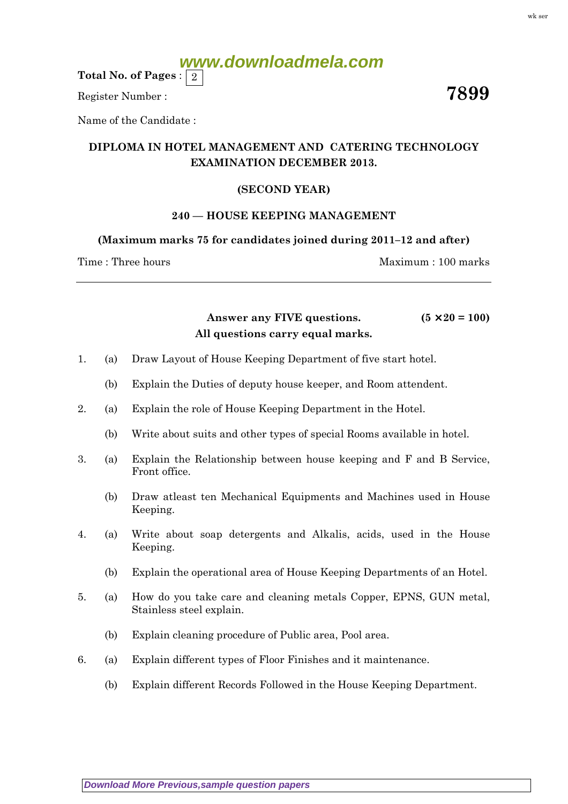Total No. of Pages :  $\mid 2 \rangle$ 

Register Number :  $\overline{7899}$ 

Name of the Candidate :

## DIPLOMA IN HOTEL MANAGEMENT AND CATERING TECHNOLOGY EXAMINATION DECEMBER 2013.

## (SECOND YEAR)

## 240 — HOUSE KEEPING MANAGEMENT

(Maximum marks 75 for candidates joined during 2011–12 and after)

Time : Three hours and the method of the Maximum : 100 marks

Answer any FIVE questions.  $(5 \times 20 = 100)$ All questions carry equal marks.

- 1. (a) Draw Layout of House Keeping Department of five start hotel.
	- (b) Explain the Duties of deputy house keeper, and Room attendent.
- 2. (a) Explain the role of House Keeping Department in the Hotel.
	- (b) Write about suits and other types of special Rooms available in hotel.
- 3. (a) Explain the Relationship between house keeping and F and B Service, Front office.
	- (b) Draw atleast ten Mechanical Equipments and Machines used in House Keeping.
- 4. (a) Write about soap detergents and Alkalis, acids, used in the House Keeping.
	- (b) Explain the operational area of House Keeping Departments of an Hotel.
- 5. (a) How do you take care and cleaning metals Copper, EPNS, GUN metal, Stainless steel explain.
	- (b) Explain cleaning procedure of Public area, Pool area.
- 6. (a) Explain different types of Floor Finishes and it maintenance.
	- (b) Explain different Records Followed in the House Keeping Department.